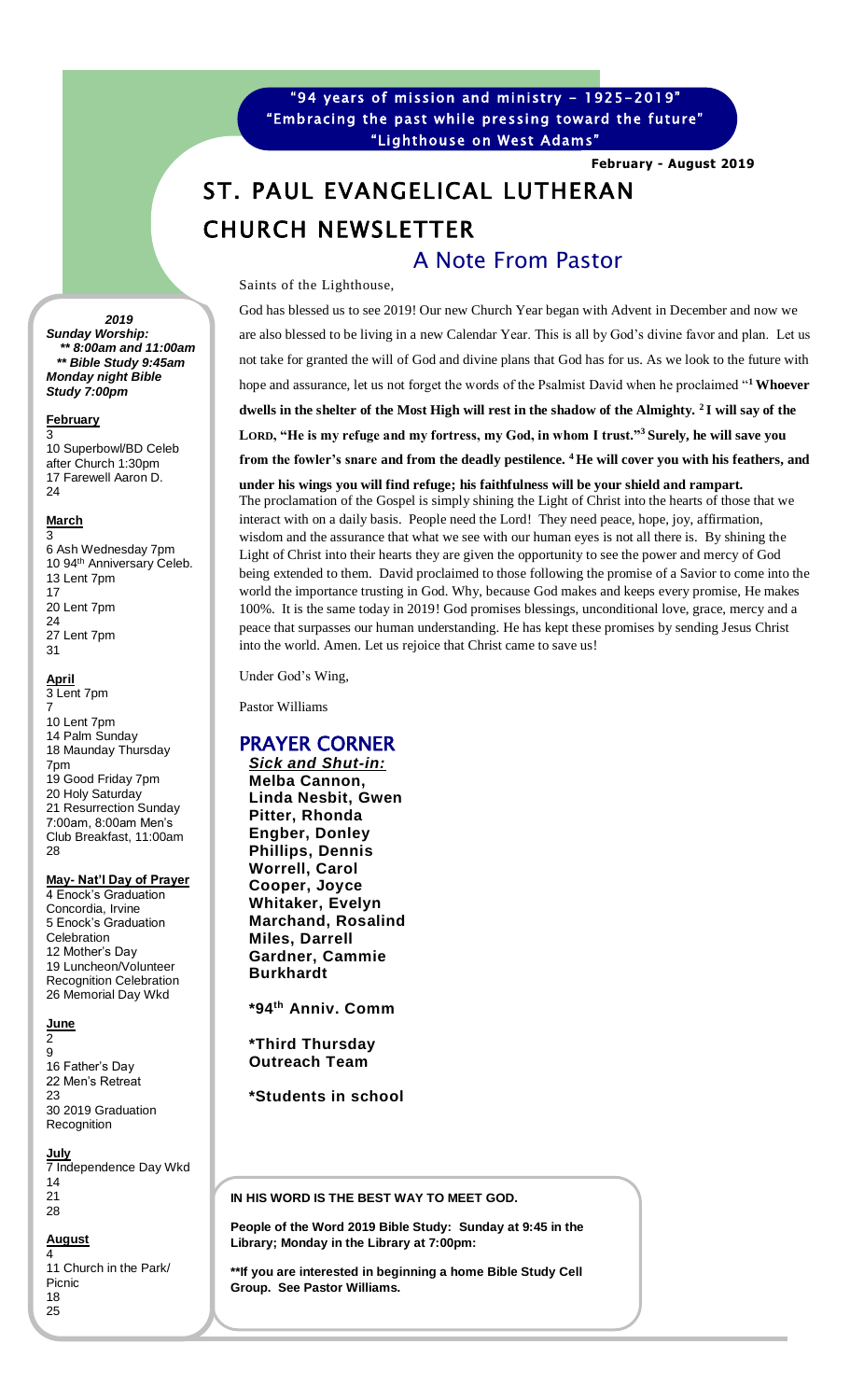"94 years of mission and ministry - 1925-2019" "Embracing the past while pressing toward the future" "Lighthouse on West Adams"

**February - August 2019**

# ST. PAUL EVANGELICAL LUTHERAN CHURCH NEWSLETTER A Note From Pastor

Saints of the Lighthouse,

God has blessed us to see 2019! Our new Church Year began with Advent in December and now we are also blessed to be living in a new Calendar Year. This is all by God's divine favor and plan. Let us not take for granted the will of God and divine plans that God has for us. As we look to the future with hope and assurance, let us not forget the words of the Psalmist David when he proclaimed "**<sup>1</sup> Whoever dwells in the shelter of the Most High will rest in the shadow of the Almighty. <sup>2</sup> I will say of the LORD, "He is my refuge and my fortress, my God, in whom I trust."<sup>3</sup>Surely, he will save you from the fowler's snare and from the deadly pestilence. <sup>4</sup> He will cover you with his feathers, and** 

**under his wings you will find refuge; his faithfulness will be your shield and rampart.** The proclamation of the Gospel is simply shining the Light of Christ into the hearts of those that we interact with on a daily basis. People need the Lord! They need peace, hope, joy, affirmation, wisdom and the assurance that what we see with our human eyes is not all there is. By shining the Light of Christ into their hearts they are given the opportunity to see the power and mercy of God being extended to them. David proclaimed to those following the promise of a Savior to come into the world the importance trusting in God. Why, because God makes and keeps every promise, He makes 100%. It is the same today in 2019! God promises blessings, unconditional love, grace, mercy and a peace that surpasses our human understanding. He has kept these promises by sending Jesus Christ into the world. Amen. Let us rejoice that Christ came to save us!

Under God's Wing,

Pastor Williams

# PRAYER CORNER

*Sick and Shut-in:* **Melba Cannon, Linda Nesbit, Gwen Pitter, Rhonda Engber, Donley Phillips, Dennis Worrell, Carol Cooper, Joyce Whitaker, Evelyn Marchand, Rosalind Miles, Darrell Gardner, Cammie Burkhardt**

**\*94th Anniv. Comm**

**\*Third Thursday Outreach Team**

**\*Students in school**

• **St. Paul YouTube** 

**work on** 

IN HIS WORD IS THE BEST WAY TO MEET GOD.

**People of the Word 2019 Bible Study: Sunday at 9:45 in the Library; Monday in the Library at 7:00pm:**  or the **w**<br>--

**\*\*If you are interested in beginning a home Bible Study Cell**  • **St. Paul Kidz of Group. See Pastor Williams. Faith Youth Ministry**

 *2019 Sunday Worship: \*\* 8:00am and 11:00am \*\* Bible Study 9:45am Monday night Bible Study 7:00pm*

J

### **February**

3 10 Superbowl/BD Celeb after Church 1:30pm 17 Farewell Aaron D.  $24$ 

#### **March** 3

6 Ash Wednesday 7pm 10 94<sup>th</sup> Anniversary Celeb. 13 Lent 7pm 17 20 Lent 7pm 24 27 Lent 7pm 31

#### **April** 3 Lent 7pm 7

10 Lent 7pm 14 Palm Sunday 18 Maunday Thursday 7pm 19 Good Friday 7pm 20 Holy Saturday 21 Resurrection Sunday 7:00am, 8:00am Men's Club Breakfast, 11:00am 28

## **May- Nat'l Day of Prayer**

4 Enock's Graduation Concordia, Irvine 5 Enock's Graduation Celebration 12 Mother's Day 19 Luncheon/Volunteer Recognition Celebration 26 Memorial Day Wkd

#### **June** 2

9

16 Father's Day 22 Men's Retreat 23 30 2019 Graduation Recognition

**July** 7 Independence Day Wkd 14 21 28

#### **August** 4

11 Church in the Park/ Picnic 18 25